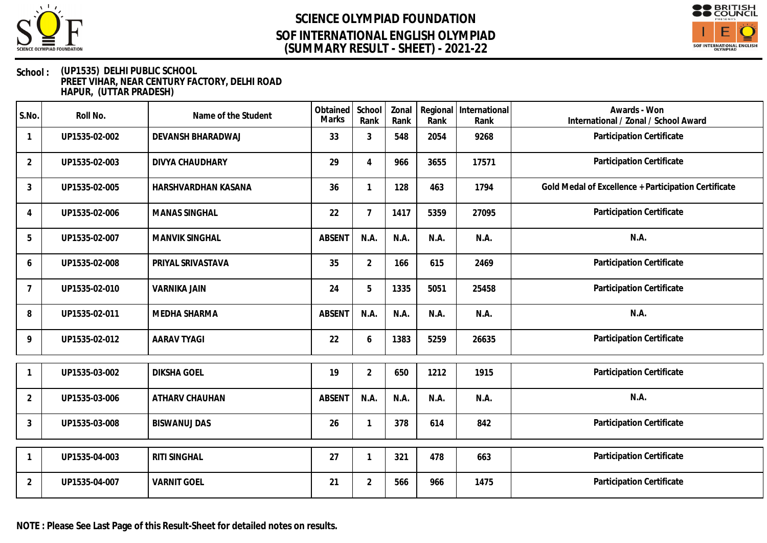

# **SCIENCE OLYMPIAD FOUNDATION (SUMMARY RESULT - SHEET) - 2021-22 SOF INTERNATIONAL ENGLISH OLYMPIAD**



### **School : (UP1535) DELHI PUBLIC SCHOOL PREET VIHAR, NEAR CENTURY FACTORY, DELHI ROAD HAPUR, (UTTAR PRADESH)**

| S.No.          | Roll No.      | Name of the Student   | Obtained<br><b>Marks</b> | School<br>Rank | Zonal<br>Rank | Rank | Regional International<br>Rank | Awards - Won<br>International / Zonal / School Award |
|----------------|---------------|-----------------------|--------------------------|----------------|---------------|------|--------------------------------|------------------------------------------------------|
| -1             | UP1535-02-002 | DEVANSH BHARADWAJ     | 33                       | $\mathfrak{Z}$ | 548           | 2054 | 9268                           | Participation Certificate                            |
| $\overline{2}$ | UP1535-02-003 | DIVYA CHAUDHARY       | 29                       | $\overline{4}$ | 966           | 3655 | 17571                          | Participation Certificate                            |
| $\mathfrak{Z}$ | UP1535-02-005 | HARSHVARDHAN KASANA   | 36                       |                | 128           | 463  | 1794                           | Gold Medal of Excellence + Participation Certificate |
| $\overline{4}$ | UP1535-02-006 | <b>MANAS SINGHAL</b>  | 22                       | $\overline{7}$ | 1417          | 5359 | 27095                          | Participation Certificate                            |
| 5              | UP1535-02-007 | <b>MANVIK SINGHAL</b> | <b>ABSENT</b>            | N.A.           | N.A.          | N.A. | N.A.                           | N.A.                                                 |
| 6              | UP1535-02-008 | PRIYAL SRIVASTAVA     | 35                       | $\overline{2}$ | 166           | 615  | 2469                           | Participation Certificate                            |
| 7              | UP1535-02-010 | <b>VARNIKA JAIN</b>   | 24                       | 5              | 1335          | 5051 | 25458                          | Participation Certificate                            |
| 8              | UP1535-02-011 | MEDHA SHARMA          | <b>ABSENT</b>            | N.A.           | N.A.          | N.A. | N.A.                           | N.A.                                                 |
| 9              | UP1535-02-012 | <b>AARAV TYAGI</b>    | 22                       | 6              | 1383          | 5259 | 26635                          | Participation Certificate                            |
|                | UP1535-03-002 | <b>DIKSHA GOEL</b>    | 19                       | $\overline{2}$ | 650           | 1212 | 1915                           | Participation Certificate                            |
| $\overline{2}$ | UP1535-03-006 | ATHARV CHAUHAN        | ABSENT                   | N.A.           | N.A.          | N.A. | N.A.                           | N.A.                                                 |
| $\mathbf{3}$   | UP1535-03-008 | <b>BISWANUJ DAS</b>   | 26                       |                | 378           | 614  | 842                            | Participation Certificate                            |
|                | UP1535-04-003 | <b>RITI SINGHAL</b>   | 27                       |                | 321           | 478  | 663                            | Participation Certificate                            |
| $\overline{2}$ | UP1535-04-007 | <b>VARNIT GOEL</b>    | 21                       | $\overline{2}$ | 566           | 966  | 1475                           | Participation Certificate                            |

**NOTE : Please See Last Page of this Result-Sheet for detailed notes on results.**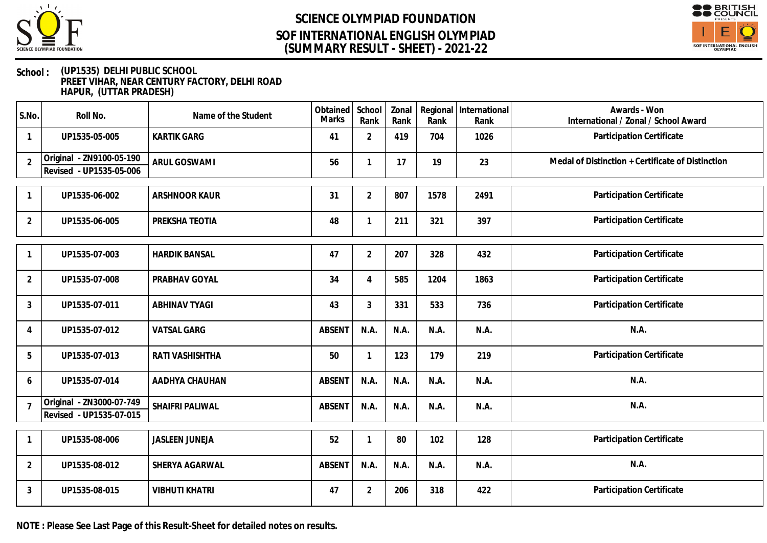



### **School : (UP1535) DELHI PUBLIC SCHOOL PREET VIHAR, NEAR CENTURY FACTORY, DELHI ROAD HAPUR, (UTTAR PRADESH)**

| S.No.          | Roll No.                                            | Name of the Student   | Obtained<br><b>Marks</b> | School<br>Rank | Zonal<br>Rank | Rank | Regional International<br>Rank | Awards - Won<br>International / Zonal / School Award |
|----------------|-----------------------------------------------------|-----------------------|--------------------------|----------------|---------------|------|--------------------------------|------------------------------------------------------|
| $\mathbf{1}$   | UP1535-05-005                                       | <b>KARTIK GARG</b>    | 41                       | $\overline{2}$ | 419           | 704  | 1026                           | Participation Certificate                            |
| $\overline{2}$ | Original - ZN9100-05-190<br>Revised - UP1535-05-006 | <b>ARUL GOSWAMI</b>   | 56                       |                | 17            | 19   | 23                             | Medal of Distinction + Certificate of Distinction    |
| $\mathbf{1}$   | UP1535-06-002                                       | <b>ARSHNOOR KAUR</b>  | 31                       | $\overline{2}$ | 807           | 1578 | 2491                           | Participation Certificate                            |
| $\overline{2}$ | UP1535-06-005                                       | PREKSHA TEOTIA        | 48                       | 1              | 211           | 321  | 397                            | Participation Certificate                            |
|                | UP1535-07-003                                       | <b>HARDIK BANSAL</b>  | 47                       | $\overline{2}$ | 207           | 328  | 432                            | Participation Certificate                            |
| $\overline{2}$ | UP1535-07-008                                       | PRABHAV GOYAL         | 34                       | $\overline{4}$ | 585           | 1204 | 1863                           | Participation Certificate                            |
| 3              | UP1535-07-011                                       | <b>ABHINAV TYAGI</b>  | 43                       | 3              | 331           | 533  | 736                            | Participation Certificate                            |
| $\overline{4}$ | UP1535-07-012                                       | <b>VATSAL GARG</b>    | <b>ABSENT</b>            | N.A.           | N.A.          | N.A. | N.A.                           | N.A.                                                 |
| 5              | UP1535-07-013                                       | RATI VASHISHTHA       | 50                       | $\mathbf{1}$   | 123           | 179  | 219                            | Participation Certificate                            |
| 6              | UP1535-07-014                                       | AADHYA CHAUHAN        | <b>ABSENT</b>            | N.A.           | N.A.          | N.A. | N.A.                           | N.A.                                                 |
| $\overline{7}$ | Original - ZN3000-07-749<br>Revised - UP1535-07-015 | SHAIFRI PALIWAL       | <b>ABSENT</b>            | N.A.           | N.A.          | N.A. | N.A.                           | N.A.                                                 |
| $\mathbf 1$    | UP1535-08-006                                       | <b>JASLEEN JUNEJA</b> | 52                       | 1              | 80            | 102  | 128                            | Participation Certificate                            |
| $\overline{2}$ | UP1535-08-012                                       | SHERYA AGARWAL        | <b>ABSENT</b>            | N.A.           | N.A.          | N.A. | N.A.                           | N.A.                                                 |
| 3              | UP1535-08-015                                       | <b>VIBHUTI KHATRI</b> | 47                       | $\overline{2}$ | 206           | 318  | 422                            | Participation Certificate                            |

**NOTE : Please See Last Page of this Result-Sheet for detailed notes on results.**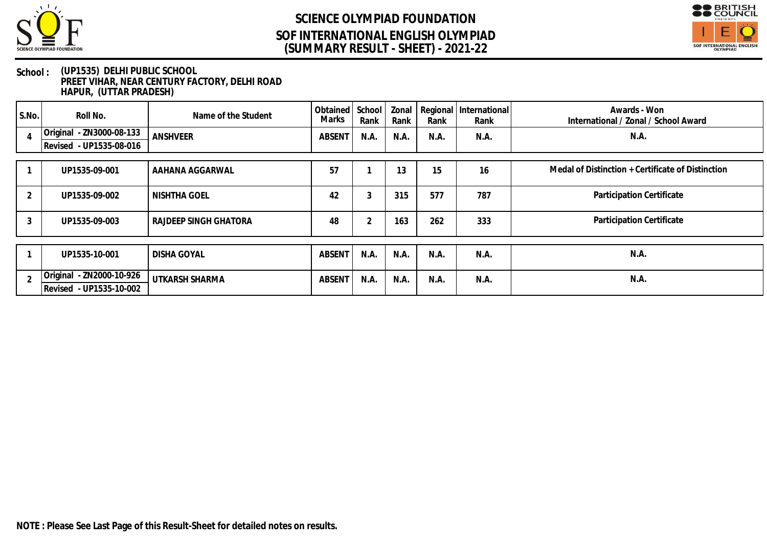



### **School : (UP1535) DELHI PUBLIC SCHOOL PREET VIHAR, NEAR CENTURY FACTORY, DELHI ROAD HAPUR, (UTTAR PRADESH)**

| $ $ S.No. | Roll No.                                            | Name of the Student   | Obtained School<br>Marks | Rank | Zonal<br>Rank | Rank | Regional   International<br>Rank | Awards - Won<br>International / Zonal / School Award |  |
|-----------|-----------------------------------------------------|-----------------------|--------------------------|------|---------------|------|----------------------------------|------------------------------------------------------|--|
|           | Original - ZN3000-08-133<br>Revised - UP1535-08-016 | <b>ANSHVEER</b>       | ABSENT                   | N.A. | N.A.          | N.A. | N.A.                             | N.A.                                                 |  |
|           |                                                     |                       |                          |      |               |      |                                  |                                                      |  |
|           | UP1535-09-001                                       | AAHANA AGGARWAL       | 57                       |      | 13            | 15   | 16                               | Medal of Distinction + Certificate of Distinction    |  |
|           | UP1535-09-002                                       | NISHTHA GOEL          | 42                       |      | 315           | 577  | 787                              | Participation Certificate                            |  |
| 3         | UP1535-09-003                                       | RAJDEEP SINGH GHATORA | 48                       |      | 163           | 262  | 333                              | Participation Certificate                            |  |
|           |                                                     |                       |                          |      |               |      |                                  |                                                      |  |
|           | UP1535-10-001                                       | <b>DISHA GOYAL</b>    | <b>ABSENT</b>            | N.A. | N.A.          | N.A. | N.A.                             | N.A                                                  |  |
|           | Original - ZN2000-10-926<br>Revised - UP1535-10-002 | UTKARSH SHARMA        | ABSENT                   | N.A. | N.A.          | N.A. | N.A.                             | N.A.                                                 |  |